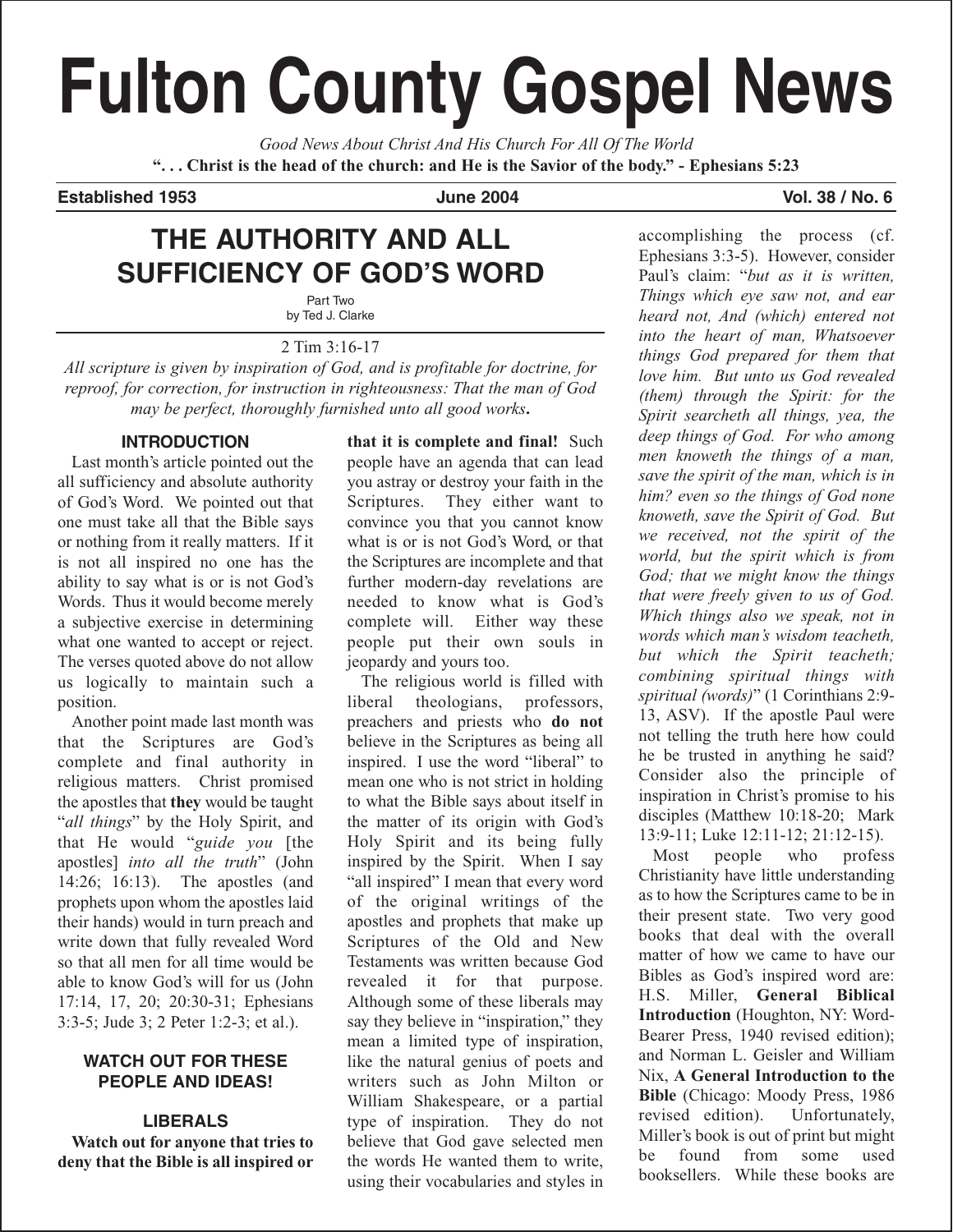# **Fulton County Gospel News**

*Good News About Christ And His Church For All Of The World* **". . . Christ is the head of the church: and He is the Savior of the body." - Ephesians 5:23**

**Established 1953 June 2004 Vol. 38 / No. 6**

## **THE AUTHORITY AND ALL SUFFICIENCY OF GOD'S WORD**

Part Two by Ted J. Clarke

#### 2 Tim 3:16-17

*All scripture is given by inspiration of God, and is profitable for doctrine, for reproof, for correction, for instruction in righteousness: That the man of God may be perfect, thoroughly furnished unto all good works***.**

#### **INTRODUCTION**

Last month's article pointed out the all sufficiency and absolute authority of God's Word. We pointed out that one must take all that the Bible says or nothing from it really matters. If it is not all inspired no one has the ability to say what is or is not God's Words. Thus it would become merely a subjective exercise in determining what one wanted to accept or reject. The verses quoted above do not allow us logically to maintain such a position.

Another point made last month was that the Scriptures are God's complete and final authority in religious matters. Christ promised the apostles that **they** would be taught "*all things*" by the Holy Spirit, and that He would "*guide you* [the apostles] *into all the truth*" (John 14:26; 16:13). The apostles (and prophets upon whom the apostles laid their hands) would in turn preach and write down that fully revealed Word so that all men for all time would be able to know God's will for us (John 17:14, 17, 20; 20:30-31; Ephesians 3:3-5; Jude 3; 2 Peter 1:2-3; et al.).

#### **WATCH OUT FOR THESE PEOPLE AND IDEAS!**

#### **LIBERALS**

**Watch out for anyone that tries to deny that the Bible is all inspired or**

**that it is complete and final!** Such people have an agenda that can lead you astray or destroy your faith in the Scriptures. They either want to convince you that you cannot know what is or is not God's Word, or that the Scriptures are incomplete and that further modern-day revelations are needed to know what is God's complete will. Either way these people put their own souls in jeopardy and yours too.

The religious world is filled with liberal theologians, professors, preachers and priests who **do not** believe in the Scriptures as being all inspired. I use the word "liberal" to mean one who is not strict in holding to what the Bible says about itself in the matter of its origin with God's Holy Spirit and its being fully inspired by the Spirit. When I say "all inspired" I mean that every word of the original writings of the apostles and prophets that make up Scriptures of the Old and New Testaments was written because God revealed it for that purpose. Although some of these liberals may say they believe in "inspiration," they mean a limited type of inspiration, like the natural genius of poets and writers such as John Milton or William Shakespeare, or a partial type of inspiration. They do not believe that God gave selected men the words He wanted them to write, using their vocabularies and styles in

accomplishing the process (cf. Ephesians 3:3-5). However, consider Paul's claim: "*but as it is written, Things which eye saw not, and ear heard not, And (which) entered not into the heart of man, Whatsoever things God prepared for them that love him. But unto us God revealed (them) through the Spirit: for the Spirit searcheth all things, yea, the deep things of God. For who among men knoweth the things of a man, save the spirit of the man, which is in him? even so the things of God none knoweth, save the Spirit of God. But we received, not the spirit of the world, but the spirit which is from God; that we might know the things that were freely given to us of God. Which things also we speak, not in words which man's wisdom teacheth, but which the Spirit teacheth; combining spiritual things with spiritual (words)*" (1 Corinthians 2:9- 13, ASV). If the apostle Paul were not telling the truth here how could he be trusted in anything he said? Consider also the principle of inspiration in Christ's promise to his disciples (Matthew 10:18-20; Mark 13:9-11; Luke 12:11-12; 21:12-15).

Most people who profess Christianity have little understanding as to how the Scriptures came to be in their present state. Two very good books that deal with the overall matter of how we came to have our Bibles as God's inspired word are: H.S. Miller, **General Biblical Introduction** (Houghton, NY: Word-Bearer Press, 1940 revised edition); and Norman L. Geisler and William Nix, **A General Introduction to the Bible** (Chicago: Moody Press, 1986 revised edition). Unfortunately, Miller's book is out of print but might be found from some used booksellers. While these books are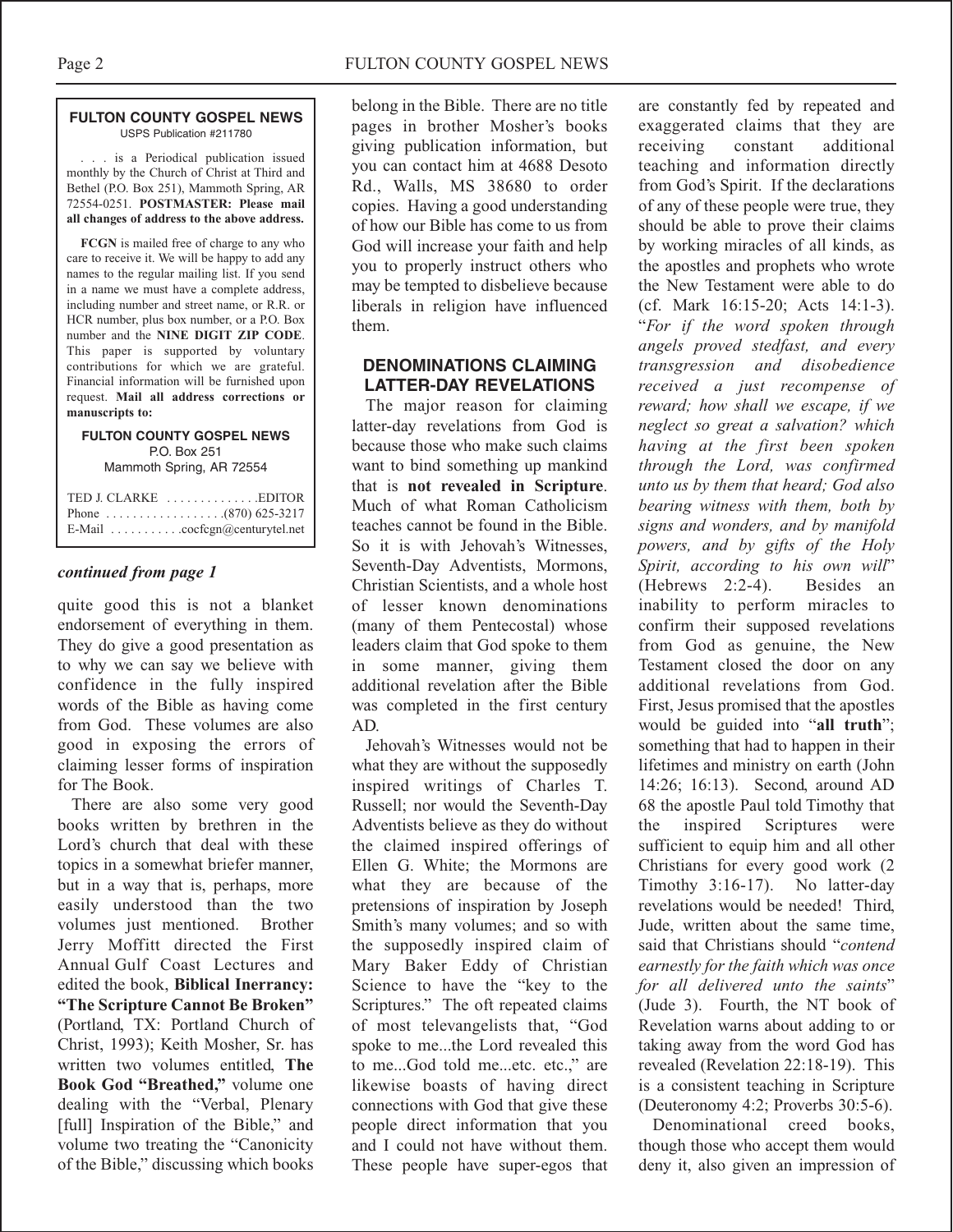#### **FULTON COUNTY GOSPEL NEWS** USPS Publication #211780

. . . is a Periodical publication issued monthly by the Church of Christ at Third and Bethel (P.O. Box 251), Mammoth Spring, AR 72554-0251. **POSTMASTER: Please mail all changes of address to the above address.**

**FCGN** is mailed free of charge to any who care to receive it. We will be happy to add any names to the regular mailing list. If you send in a name we must have a complete address, including number and street name, or R.R. or HCR number, plus box number, or a P.O. Box number and the **NINE DIGIT ZIP CODE**. This paper is supported by voluntary contributions for which we are grateful. Financial information will be furnished upon request. **Mail all address corrections or manuscripts to:**

#### **FULTON COUNTY GOSPEL NEWS** P.O. Box 251 Mammoth Spring, AR 72554

| E-Mail $\ldots \ldots \ldots \ldots$ cocfcgn@centurytel.net |
|-------------------------------------------------------------|

#### *continued from page 1*

quite good this is not a blanket endorsement of everything in them. They do give a good presentation as to why we can say we believe with confidence in the fully inspired words of the Bible as having come from God. These volumes are also good in exposing the errors of claiming lesser forms of inspiration for The Book.

There are also some very good books written by brethren in the Lord's church that deal with these topics in a somewhat briefer manner, but in a way that is, perhaps, more easily understood than the two volumes just mentioned. Brother Jerry Moffitt directed the First Annual Gulf Coast Lectures and edited the book, **Biblical Inerrancy: "The Scripture Cannot Be Broken"** (Portland, TX: Portland Church of Christ, 1993); Keith Mosher, Sr. has written two volumes entitled, **The Book God "Breathed,"** volume one dealing with the "Verbal, Plenary [full] Inspiration of the Bible," and volume two treating the "Canonicity of the Bible," discussing which books

belong in the Bible. There are no title pages in brother Mosher's books giving publication information, but you can contact him at 4688 Desoto Rd., Walls, MS 38680 to order copies. Having a good understanding of how our Bible has come to us from God will increase your faith and help you to properly instruct others who may be tempted to disbelieve because liberals in religion have influenced them.

#### **DENOMINATIONS CLAIMING LATTER-DAY REVELATIONS**

The major reason for claiming latter-day revelations from God is because those who make such claims want to bind something up mankind that is **not revealed in Scripture**. Much of what Roman Catholicism teaches cannot be found in the Bible. So it is with Jehovah's Witnesses, Seventh-Day Adventists, Mormons, Christian Scientists, and a whole host of lesser known denominations (many of them Pentecostal) whose leaders claim that God spoke to them in some manner, giving them additional revelation after the Bible was completed in the first century AD.

Jehovah's Witnesses would not be what they are without the supposedly inspired writings of Charles T. Russell; nor would the Seventh-Day Adventists believe as they do without the claimed inspired offerings of Ellen G. White; the Mormons are what they are because of the pretensions of inspiration by Joseph Smith's many volumes; and so with the supposedly inspired claim of Mary Baker Eddy of Christian Science to have the "key to the Scriptures." The oft repeated claims of most televangelists that, "God spoke to me...the Lord revealed this to me...God told me...etc. etc.," are likewise boasts of having direct connections with God that give these people direct information that you and I could not have without them. These people have super-egos that

are constantly fed by repeated and exaggerated claims that they are receiving constant additional teaching and information directly from God's Spirit. If the declarations of any of these people were true, they should be able to prove their claims by working miracles of all kinds, as the apostles and prophets who wrote the New Testament were able to do (cf. Mark 16:15-20; Acts 14:1-3). "*For if the word spoken through angels proved stedfast, and every transgression and disobedience received a just recompense of reward; how shall we escape, if we neglect so great a salvation? which having at the first been spoken through the Lord, was confirmed unto us by them that heard; God also bearing witness with them, both by signs and wonders, and by manifold powers, and by gifts of the Holy Spirit, according to his own will*" (Hebrews 2:2-4). Besides an inability to perform miracles to confirm their supposed revelations from God as genuine, the New Testament closed the door on any additional revelations from God. First, Jesus promised that the apostles would be guided into "**all truth**"; something that had to happen in their lifetimes and ministry on earth (John 14:26; 16:13). Second, around AD 68 the apostle Paul told Timothy that the inspired Scriptures were sufficient to equip him and all other Christians for every good work (2 Timothy 3:16-17). No latter-day revelations would be needed! Third, Jude, written about the same time, said that Christians should "*contend earnestly for the faith which was once for all delivered unto the saints*" (Jude 3). Fourth, the NT book of Revelation warns about adding to or taking away from the word God has revealed (Revelation 22:18-19). This is a consistent teaching in Scripture (Deuteronomy 4:2; Proverbs 30:5-6).

Denominational creed books, though those who accept them would deny it, also given an impression of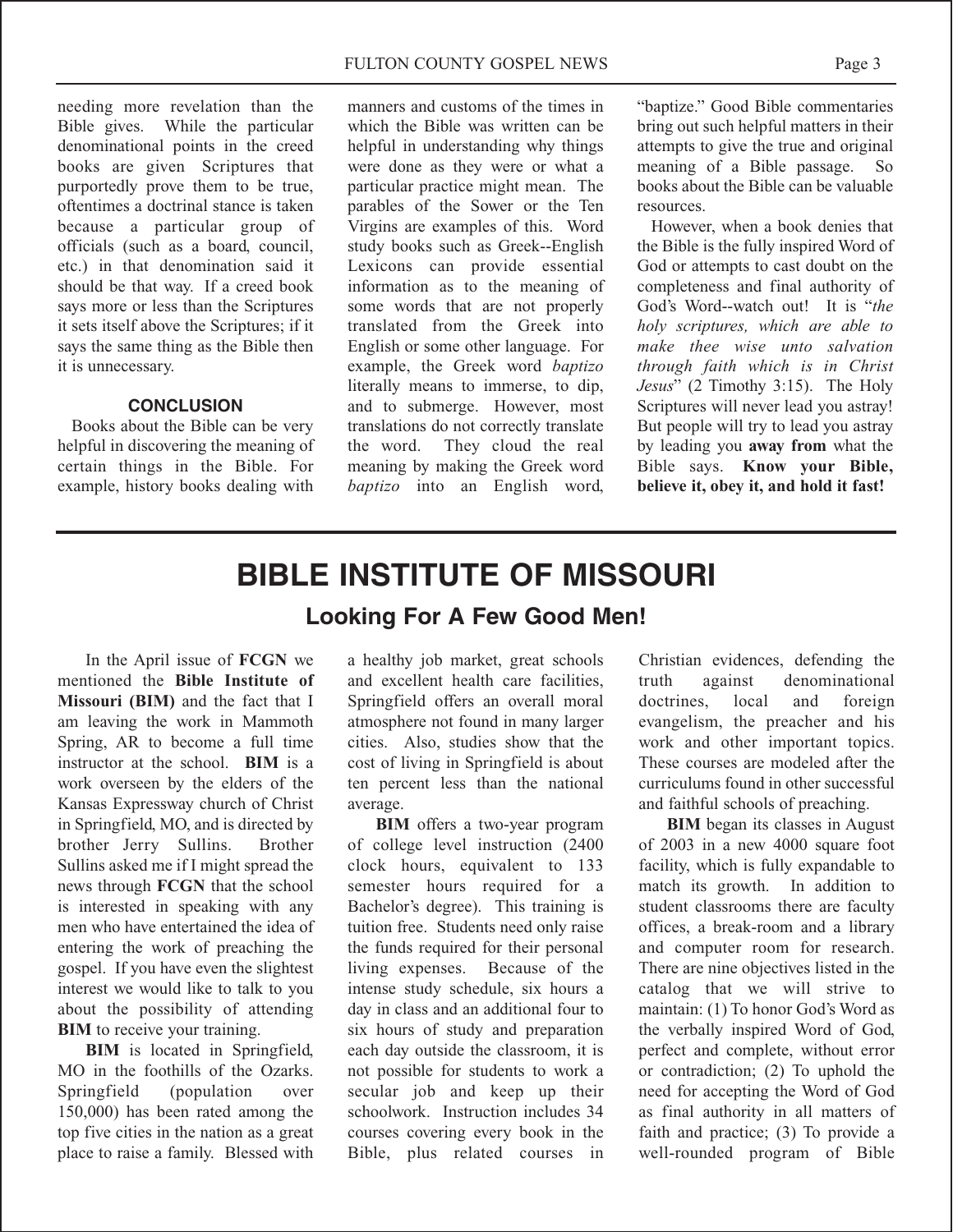needing more revelation than the<br>Bible gives. While the particular While the particular denominational points in the creed books are given Scriptures that purportedly prove them to be true, oftentimes a doctrinal stance is taken because a particular group of officials (such as a board, council, etc.) in that denomination said it should be that way. If a creed book says more or less than the Scriptures it sets itself above the Scriptures; if it says the same thing as the Bible then it is unnecessary.

#### **CONCLUSION**

Books about the Bible can be very helpful in discovering the meaning of certain things in the Bible. For example, history books dealing with

manners and customs of the times in which the Bible was written can be helpful in understanding why things were done as they were or what a particular practice might mean. The parables of the Sower or the Ten Virgins are examples of this. Word study books such as Greek--English Lexicons can provide essential information as to the meaning of some words that are not properly translated from the Greek into English or some other language. For example, the Greek word *baptizo* literally means to immerse, to dip, and to submerge. However, most translations do not correctly translate the word. They cloud the real meaning by making the Greek word *baptizo* into an English word,

"baptize." Good Bible commentaries bring out such helpful matters in their attempts to give the true and original meaning of a Bible passage. So books about the Bible can be valuable resources.

However, when a book denies that the Bible is the fully inspired Word of God or attempts to cast doubt on the completeness and final authority of God's Word--watch out! It is "*the holy scriptures, which are able to make thee wise unto salvation through faith which is in Christ Jesus*" (2 Timothy 3:15). The Holy Scriptures will never lead you astray! But people will try to lead you astray by leading you **away from** what the Bible says. **Know your Bible, believe it, obey it, and hold it fast!**

# **BIBLE INSTITUTE OF MISSOURI Looking For A Few Good Men!**

In the April issue of **FCGN** we mentioned the **Bible Institute of Missouri (BIM)** and the fact that I am leaving the work in Mammoth Spring, AR to become a full time instructor at the school. **BIM** is a work overseen by the elders of the Kansas Expressway church of Christ in Springfield, MO, and is directed by brother Jerry Sullins. Brother Sullins asked me if I might spread the news through **FCGN** that the school is interested in speaking with any men who have entertained the idea of entering the work of preaching the gospel. If you have even the slightest interest we would like to talk to you about the possibility of attending **BIM** to receive your training.

**BIM** is located in Springfield, MO in the foothills of the Ozarks. Springfield (population over 150,000) has been rated among the top five cities in the nation as a great place to raise a family. Blessed with

a healthy job market, great schools and excellent health care facilities, Springfield offers an overall moral atmosphere not found in many larger cities. Also, studies show that the cost of living in Springfield is about ten percent less than the national average.

**BIM** offers a two-year program of college level instruction (2400 clock hours, equivalent to 133 semester hours required for a Bachelor's degree). This training is tuition free. Students need only raise the funds required for their personal living expenses. Because of the intense study schedule, six hours a day in class and an additional four to six hours of study and preparation each day outside the classroom, it is not possible for students to work a secular job and keep up their schoolwork. Instruction includes 34 courses covering every book in the Bible, plus related courses in

Christian evidences, defending the truth against denominational doctrines, local and foreign evangelism, the preacher and his work and other important topics. These courses are modeled after the curriculums found in other successful and faithful schools of preaching.

**BIM** began its classes in August of 2003 in a new 4000 square foot facility, which is fully expandable to match its growth. In addition to student classrooms there are faculty offices, a break-room and a library and computer room for research. There are nine objectives listed in the catalog that we will strive to maintain: (1) To honor God's Word as the verbally inspired Word of God, perfect and complete, without error or contradiction; (2) To uphold the need for accepting the Word of God as final authority in all matters of faith and practice; (3) To provide a well-rounded program of Bible